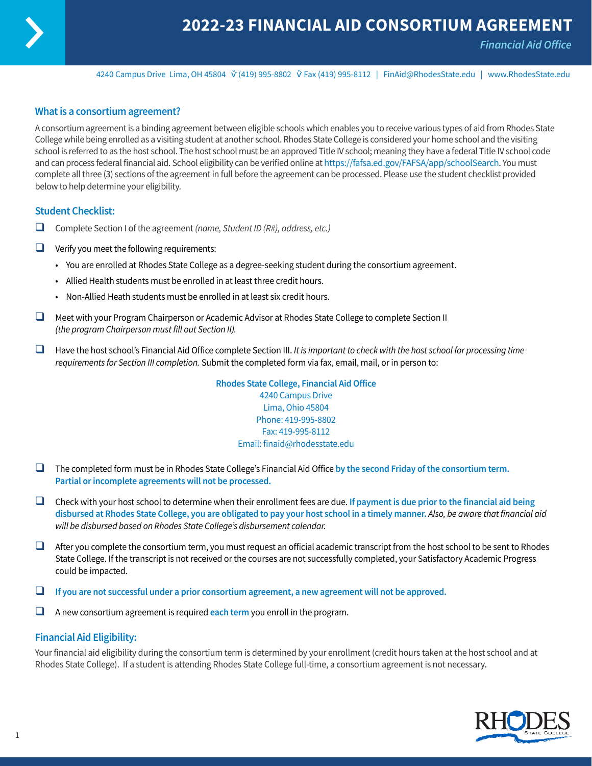

*Financial Aid Office*

4240 Campus Drive Lima, OH 45804 (419) 995-8802 Fax (419) 995-8112 | FinAid@RhodesState.edu | www.RhodesState.edu

### **What is a consortium agreement?**

A consortium agreement is a binding agreement between eligible schools which enables you to receive various types of aid from Rhodes State College while being enrolled as a visiting student at another school. Rhodes State College is considered your home school and the visiting school is referred to as the host school. The host school must be an approved Title IV school; meaning they have a federal Title IV school code and can process federal financial aid. School eligibility can be verified online at<https://fafsa.ed.gov/FAFSA/app/schoolSearch>. You must complete all three (3) sections of the agreement in full before the agreement can be processed. Please use the student checklist provided below to help determine your eligibility.

#### **Student Checklist:**

- □ Complete Section I of the agreement *(name, Student ID (R#), address, etc.)*
- $\Box$  Verify you meet the following requirements:
	- You are enrolled at Rhodes State College as a degree-seeking student during the consortium agreement.
	- Allied Health students must be enrolled in at least three credit hours.
	- Non-Allied Heath students must be enrolled in at least six credit hours.
- $\Box$  Meet with your Program Chairperson or Academic Advisor at Rhodes State College to complete Section II *(the program Chairperson must fill out Section II).*
- □ Have the host school's Financial Aid Office complete Section III. *It is important to check with the host school for processing time requirements for Section III completion.* Submit the completed form via fax, email, mail, or in person to:

**Rhodes State College, Financial Aid Office** 4240 Campus Drive Lima, Ohio 45804 Phone: 419-995-8802 Fax: 419-995-8112 Email: finaid@rhodesstate.edu

- $\Box$  The completed form must be in Rhodes State College's Financial Aid Office by the second Friday of the consortium term. **Partial or incomplete agreements will not be processed.**
- □ Check with your host school to determine when their enrollment fees are due. If payment is due prior to the financial aid being **disbursed at Rhodes State College, you are obligated to pay your host school in a timely manner.** *Also, be aware that financial aid will be disbursed based on Rhodes State College's disbursement calendar.*
- $\Box$  After you complete the consortium term, you must request an official academic transcript from the host school to be sent to Rhodes State College. If the transcript is not received or the courses are not successfully completed, your Satisfactory Academic Progress could be impacted.
- $\Box$  If you are not successful under a prior consortium agreement, a new agreement will not be approved.
- $\Box$  A new consortium agreement is required each term you enroll in the program.

### **Financial Aid Eligibility:**

Your financial aid eligibility during the consortium term is determined by your enrollment (credit hours taken at the host school and at Rhodes State College). If a student is attending Rhodes State College full-time, a consortium agreement is not necessary.

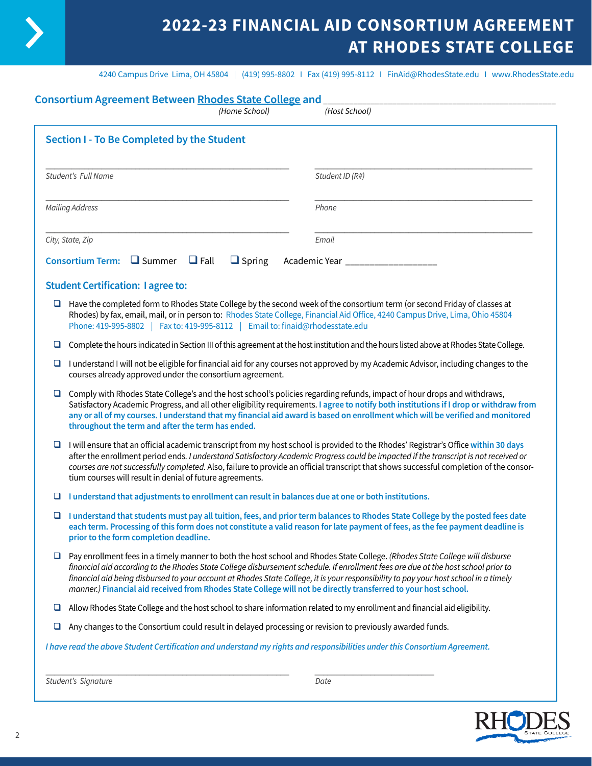

# **2022-23 FINANCIAL AID CONSORTIUM AGREEMENT AT RHODES STATE COLLEGE**

4240 Campus Drive Lima, OH 45804 I (419) 995-8802 I Fax (419) 995-8112 I FinAid@RhodesState.edu I www.RhodesState.edu

|                        | <b>Consortium Agreement Between Rhodes State College and</b><br>(Home School)                                                                                                                                                                                                                                                                                                                                                                                                      | (Host School)                                                                                                                                                                                                                                                                                                                                                                                                                                                                                                                |
|------------------------|------------------------------------------------------------------------------------------------------------------------------------------------------------------------------------------------------------------------------------------------------------------------------------------------------------------------------------------------------------------------------------------------------------------------------------------------------------------------------------|------------------------------------------------------------------------------------------------------------------------------------------------------------------------------------------------------------------------------------------------------------------------------------------------------------------------------------------------------------------------------------------------------------------------------------------------------------------------------------------------------------------------------|
|                        | Section I - To Be Completed by the Student                                                                                                                                                                                                                                                                                                                                                                                                                                         |                                                                                                                                                                                                                                                                                                                                                                                                                                                                                                                              |
| Student's Full Name    |                                                                                                                                                                                                                                                                                                                                                                                                                                                                                    | Student ID (R#)                                                                                                                                                                                                                                                                                                                                                                                                                                                                                                              |
| <b>Mailing Address</b> |                                                                                                                                                                                                                                                                                                                                                                                                                                                                                    | Phone                                                                                                                                                                                                                                                                                                                                                                                                                                                                                                                        |
| City, State, Zip       |                                                                                                                                                                                                                                                                                                                                                                                                                                                                                    | Email                                                                                                                                                                                                                                                                                                                                                                                                                                                                                                                        |
|                        | Consortium Term: $\Box$ Summer $\Box$ Fall<br>$\Box$ Spring                                                                                                                                                                                                                                                                                                                                                                                                                        | Academic Year _______________                                                                                                                                                                                                                                                                                                                                                                                                                                                                                                |
|                        | <b>Student Certification: I agree to:</b>                                                                                                                                                                                                                                                                                                                                                                                                                                          |                                                                                                                                                                                                                                                                                                                                                                                                                                                                                                                              |
| ⊔                      | Phone: 419-995-8802   Fax to: 419-995-8112   Email to: finaid@rhodesstate.edu                                                                                                                                                                                                                                                                                                                                                                                                      | Have the completed form to Rhodes State College by the second week of the consortium term (or second Friday of classes at<br>Rhodes) by fax, email, mail, or in person to: Rhodes State College, Financial Aid Office, 4240 Campus Drive, Lima, Ohio 45804                                                                                                                                                                                                                                                                   |
| u                      |                                                                                                                                                                                                                                                                                                                                                                                                                                                                                    | Complete the hours indicated in Section III of this agreement at the host institution and the hours listed above at Rhodes State College.                                                                                                                                                                                                                                                                                                                                                                                    |
| ⊔                      | courses already approved under the consortium agreement.                                                                                                                                                                                                                                                                                                                                                                                                                           | I understand I will not be eligible for financial aid for any courses not approved by my Academic Advisor, including changes to the                                                                                                                                                                                                                                                                                                                                                                                          |
| ⊔                      | throughout the term and after the term has ended.                                                                                                                                                                                                                                                                                                                                                                                                                                  | Comply with Rhodes State College's and the host school's policies regarding refunds, impact of hour drops and withdraws,<br>Satisfactory Academic Progress, and all other eligibility requirements. I agree to notify both institutions if I drop or withdraw from<br>any or all of my courses. I understand that my financial aid award is based on enrollment which will be verified and monitored                                                                                                                         |
| ⊔                      | I will ensure that an official academic transcript from my host school is provided to the Rhodes' Registrar's Office within 30 days<br>after the enrollment period ends. I understand Satisfactory Academic Progress could be impacted if the transcript is not received or<br>courses are not successfully completed. Also, failure to provide an official transcript that shows successful completion of the consor-<br>tium courses will result in denial of future agreements. |                                                                                                                                                                                                                                                                                                                                                                                                                                                                                                                              |
| u.                     | I understand that adjustments to enrollment can result in balances due at one or both institutions.                                                                                                                                                                                                                                                                                                                                                                                |                                                                                                                                                                                                                                                                                                                                                                                                                                                                                                                              |
|                        | $\Box$ I understand that students must pay all tuition, fees, and prior term balances to Rhodes State College by the posted fees date<br>each term. Processing of this form does not constitute a valid reason for late payment of fees, as the fee payment deadline is<br>prior to the form completion deadline.                                                                                                                                                                  |                                                                                                                                                                                                                                                                                                                                                                                                                                                                                                                              |
| 0                      |                                                                                                                                                                                                                                                                                                                                                                                                                                                                                    | Pay enrollment fees in a timely manner to both the host school and Rhodes State College. (Rhodes State College will disburse<br>financial aid according to the Rhodes State College disbursement schedule. If enrollment fees are due at the host school prior to<br>financial aid being disbursed to your account at Rhodes State College, it is your responsibility to pay your host school in a timely<br>manner.) Financial aid received from Rhodes State College will not be directly transferred to your host school. |
| ⊔                      |                                                                                                                                                                                                                                                                                                                                                                                                                                                                                    | Allow Rhodes State College and the host school to share information related to my enrollment and financial aid eligibility.                                                                                                                                                                                                                                                                                                                                                                                                  |
| ⊔                      | Any changes to the Consortium could result in delayed processing or revision to previously awarded funds.                                                                                                                                                                                                                                                                                                                                                                          |                                                                                                                                                                                                                                                                                                                                                                                                                                                                                                                              |
|                        |                                                                                                                                                                                                                                                                                                                                                                                                                                                                                    | I have read the above Student Certification and understand my rights and responsibilities under this Consortium Agreement.                                                                                                                                                                                                                                                                                                                                                                                                   |
|                        |                                                                                                                                                                                                                                                                                                                                                                                                                                                                                    |                                                                                                                                                                                                                                                                                                                                                                                                                                                                                                                              |
| Student's Signature    |                                                                                                                                                                                                                                                                                                                                                                                                                                                                                    | Date                                                                                                                                                                                                                                                                                                                                                                                                                                                                                                                         |